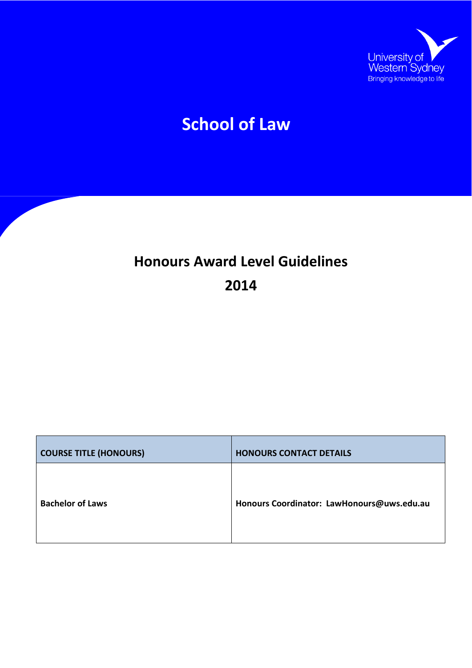

# **School of Law**

# **Honours Award Level Guidelines**

# **2014**

| <b>COURSE TITLE (HONOURS)</b> | <b>HONOURS CONTACT DETAILS</b>             |
|-------------------------------|--------------------------------------------|
| <b>Bachelor of Laws</b>       | Honours Coordinator: LawHonours@uws.edu.au |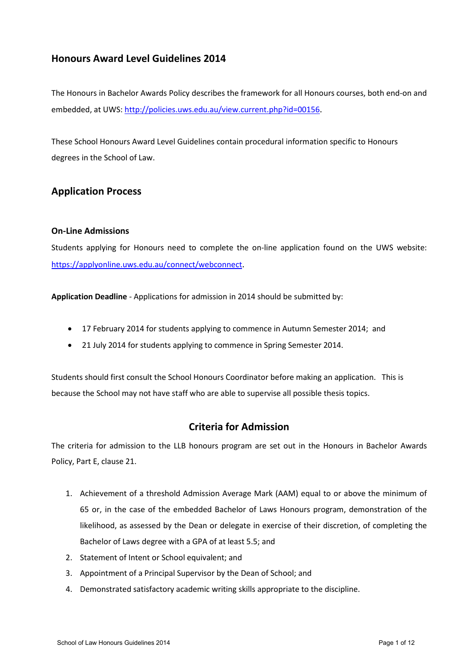# **Honours Award Level Guidelines 2014**

The Honours in Bachelor Awards Policy describes the framework for all Honours courses, both end-on and embedded, at UWS:<http://policies.uws.edu.au/view.current.php?id=00156>.

These School Honours Award Level Guidelines contain procedural information specific to Honours degrees in the School of Law.

# **Application Process**

### **On-Line Admissions**

Students applying for Honours need to complete the on-line application found on the UWS website: <https://applyonline.uws.edu.au/connect/webconnect>.

**Application Deadline** - Applications for admission in 2014 should be submitted by:

- 17 February 2014 for students applying to commence in Autumn Semester 2014; and
- 21 July 2014 for students applying to commence in Spring Semester 2014.

Students should first consult the School Honours Coordinator before making an application. This is because the School may not have staff who are able to supervise all possible thesis topics.

# **Criteria for Admission**

The criteria for admission to the LLB honours program are set out in the Honours in Bachelor Awards Policy, Part E, clause 21.

- 1. Achievement of a threshold Admission Average Mark (AAM) equal to or above the minimum of 65 or, in the case of the embedded Bachelor of Laws Honours program, demonstration of the likelihood, as assessed by the Dean or delegate in exercise of their discretion, of completing the Bachelor of Laws degree with a GPA of at least 5.5; and
- 2. Statement of Intent or School equivalent; and
- 3. Appointment of a Principal Supervisor by the Dean of School; and
- <span id="page-1-0"></span>4. Demonstrated satisfactory academic writing skills appropriate to the discipline.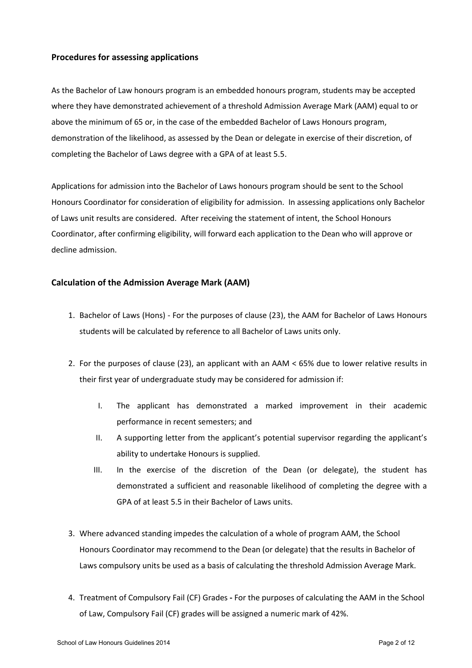### **Procedures for assessing applications**

As the Bachelor of Law honours program is an embedded honours program, students may be accepted where they have demonstrated achievement of a threshold Admission Average Mark (AAM) equal to or above the minimum of 65 or, in the case of the embedded Bachelor of Laws Honours program, demonstration of the likelihood, as assessed by the Dean or delegate in exercise of their discretion, of completing the Bachelor of Laws degree with a GPA of at least 5.5.

Applications for admission into the Bachelor of Laws honours program should be sent to the School Honours Coordinator for consideration of eligibility for admission. In assessing applications only Bachelor of Laws unit results are considered. After receiving the statement of intent, the School Honours Coordinator, after confirming eligibility, will forward each application to the Dean who will approve or decline admission.

## **Calculation of the Admission Average Mark (AAM)**

- 1. Bachelor of Laws (Hons) For the purposes of clause (23), the AAM for Bachelor of Laws Honours students will be calculated by reference to all Bachelor of Laws units only.
- 2. For the purposes of clause (23), an applicant with an AAM < 65% due to lower relative results in their first year of undergraduate study may be considered for admission if:
	- I. The applicant has demonstrated a marked improvement in their academic performance in recent semesters; and
	- II. A supporting letter from the applicant's potential supervisor regarding the applicant's ability to undertake Honours is supplied.
	- III. In the exercise of the discretion of the Dean (or delegate), the student has demonstrated a sufficient and reasonable likelihood of completing the degree with a GPA of at least 5.5 in their Bachelor of Laws units.
- 3. Where advanced standing impedes the calculation of a whole of program AAM, the School Honours Coordinator may recommend to the Dean (or delegate) that the results in Bachelor of Laws compulsory units be used as a basis of calculating the threshold Admission Average Mark.
- 4. Treatment of Compulsory Fail (CF) GradesFor the purposes of calculating the AAM in the School of Law, Compulsory Fail (CF) grades will be assigned a numeric mark of 42%.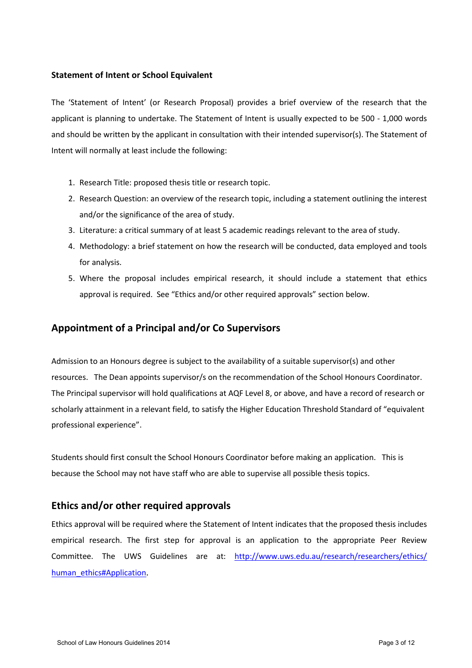#### **Statement of Intent or School Equivalent**

The 'Statement of Intent' (or Research Proposal) provides a brief overview of the research that the applicant is planning to undertake. The Statement of Intent is usually expected to be 500 - 1,000 words and should be written by the applicant in consultation with their intended supervisor(s). The Statement of Intent will normally at least include the following:

- 1. Research Title: proposed thesis title or research topic.
- 2. Research Question: an overview of the research topic, including a statement outlining the interest and/or the significance of the area of study.
- 3. Literature: a critical summary of at least 5 academic readings relevant to the area of study.
- 4. Methodology: a brief statement on how the research will be conducted, data employed and tools for analysis.
- 5. Where the proposal includes empirical research, it should include a statement that ethics approval is required. See "Ethics and/or other required approvals" section below.

# **Appointment of a Principal and/or Co Supervisors**

Admission to an Honours degree is subject to the availability of a suitable supervisor(s) and other resources. The Dean appoints supervisor/s on the recommendation of the School Honours Coordinator. The Principal supervisor will hold qualifications at AQF Level 8, or above, and have a record of research or scholarly attainment in a relevant field, to satisfy the Higher Education Threshold Standard of "equivalent professional experience".

Students should first consult the School Honours Coordinator before making an application. This is because the School may not have staff who are able to supervise all possible thesis topics.

# **Ethics and/or other required approvals**

Ethics approval will be required where the Statement of Intent indicates that the proposed thesis includes empirical research. The first step for approval is an application to the appropriate Peer Review Committee. The UWS Guidelines are at: [http://www.uws.edu.au/research/researchers/ethics/](http://www.uws.edu.au/research/researchers/ethics/%20human_ethics#Application)  [human\\_ethics#Application](http://www.uws.edu.au/research/researchers/ethics/%20human_ethics#Application).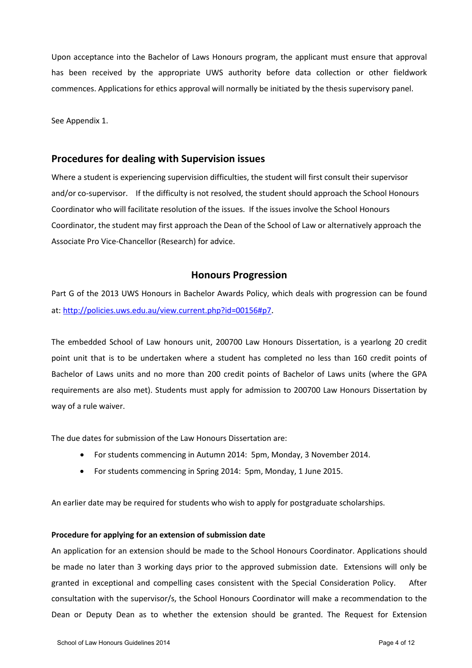Upon acceptance into the Bachelor of Laws Honours program, the applicant must ensure that approval has been received by the appropriate UWS authority before data collection or other fieldwork commences. Applications for ethics approval will normally be initiated by the thesis supervisory panel.

See Appendix 1.

# **Procedures for dealing with Supervision issues**

Where a student is experiencing supervision difficulties, the student will first consult their supervisor and/or co-supervisor. If the difficulty is not resolved, the student should approach the School Honours Coordinator who will facilitate resolution of the issues. If the issues involve the School Honours Coordinator, the student may first approach the Dean of the School of Law or alternatively approach the Associate Pro Vice-Chancellor (Research) for advice.

### **Honours Progression**

Part G of the 2013 UWS Honours in Bachelor Awards Policy, which deals with progression can be found at:<http://policies.uws.edu.au/view.current.php?id=00156#p7>.

The embedded School of Law honours unit, 200700 Law Honours Dissertation, is a yearlong 20 credit point unit that is to be undertaken where a student has completed no less than 160 credit points of Bachelor of Laws units and no more than 200 credit points of Bachelor of Laws units (where the GPA requirements are also met). Students must apply for admission to 200700 Law Honours Dissertation by way of a rule waiver.

The due dates for submission of the Law Honours Dissertation are:

- For students commencing in Autumn 2014: 5pm, Monday, 3 November 2014.
- For students commencing in Spring 2014: 5pm, Monday, 1 June 2015.

An earlier date may be required for students who wish to apply for postgraduate scholarships.

#### **Procedure for applying for an extension of submission date**

An application for an extension should be made to the School Honours Coordinator. Applications should be made no later than 3 working days prior to the approved submission date. Extensions will only be granted in exceptional and compelling cases consistent with the Special Consideration Policy. After consultation with the supervisor/s, the School Honours Coordinator will make a recommendation to the Dean or Deputy Dean as to whether the extension should be granted. The Request for Extension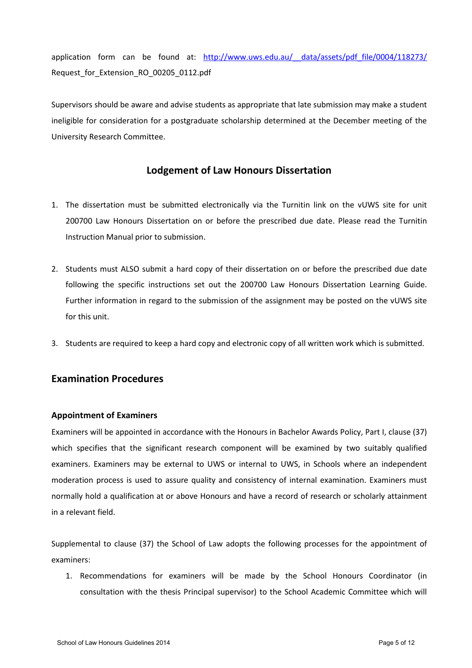application form can be found at: http://www.uws.edu.au/ data/assets/pdf file/0004/118273/ Request\_for\_Extension\_RO\_00205\_0112.pdf

Supervisors should be aware and advise students as appropriate that late submission may make a student ineligible for consideration for a postgraduate scholarship determined at the December meeting of the University Research Committee.

# **Lodgement of Law Honours Dissertation**

- 1. The dissertation must be submitted electronically via the Turnitin link on the vUWS site for unit 200700 Law Honours Dissertation on or before the prescribed due date. Please read the Turnitin Instruction Manual prior to submission.
- 2. Students must ALSO submit a hard copy of their dissertation on or before the prescribed due date following the specific instructions set out the 200700 Law Honours Dissertation Learning Guide. Further information in regard to the submission of the assignment may be posted on the vUWS site for this unit.
- 3. Students are required to keep a hard copy and electronic copy of all written work which is submitted.

# **Examination Procedures**

#### **Appointment of Examiners**

Examiners will be appointed in accordance with the Honours in Bachelor Awards Policy, Part I, clause (37) which specifies that the significant research component will be examined by two suitably qualified examiners. Examiners may be external to UWS or internal to UWS, in Schools where an independent moderation process is used to assure quality and consistency of internal examination. Examiners must normally hold a qualification at or above Honours and have a record of research or scholarly attainment in a relevant field.

Supplemental to clause (37) the School of Law adopts the following processes for the appointment of examiners:

1. Recommendations for examiners will be made by the School Honours Coordinator (in consultation with the thesis Principal supervisor) to the School Academic Committee which will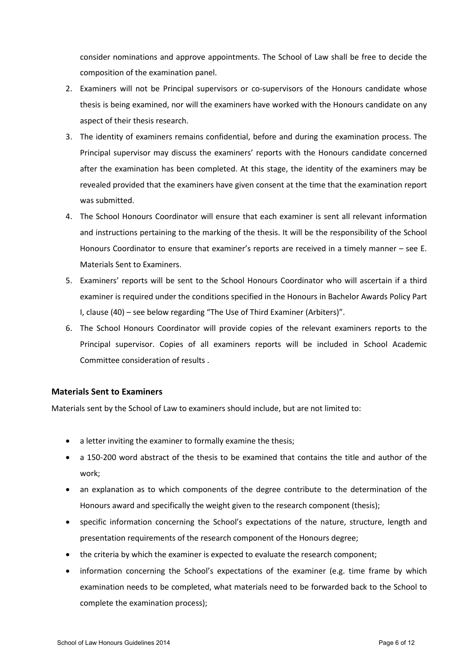consider nominations and approve appointments. The School of Law shall be free to decide the composition of the examination panel.

- 2. Examiners will not be Principal supervisors or co-supervisors of the Honours candidate whose thesis is being examined, nor will the examiners have worked with the Honours candidate on any aspect of their thesis research.
- 3. The identity of examiners remains confidential, before and during the examination process. The Principal supervisor may discuss the examiners' reports with the Honours candidate concerned after the examination has been completed. At this stage, the identity of the examiners may be revealed provided that the examiners have given consent at the time that the examination report was submitted.
- 4. The School Honours Coordinator will ensure that each examiner is sent all relevant information and instructions pertaining to the marking of the thesis. It will be the responsibility of the School Honours Coordinator to ensure that examiner's reports are received in a timely manner – see E. Materials Sent to Examiners.
- 5. Examiners' reports will be sent to the School Honours Coordinator who will ascertain if a third examiner is required under the conditions specified in the Honours in Bachelor Awards Policy Part I, clause (40) – see below regarding "The Use of Third Examiner (Arbiters)".
- 6. The School Honours Coordinator will provide copies of the relevant examiners reports to the Principal supervisor. Copies of all examiners reports will be included in School Academic Committee consideration of results .

### **Materials Sent to Examiners**

Materials sent by the School of Law to examiners should include, but are not limited to:

- a letter inviting the examiner to formally examine the thesis;
- a 150-200 word abstract of the thesis to be examined that contains the title and author of the work;
- an explanation as to which components of the degree contribute to the determination of the Honours award and specifically the weight given to the research component (thesis);
- specific information concerning the School's expectations of the nature, structure, length and presentation requirements of the research component of the Honours degree;
- the criteria by which the examiner is expected to evaluate the research component;
- information concerning the School's expectations of the examiner (e.g. time frame by which examination needs to be completed, what materials need to be forwarded back to the School to complete the examination process);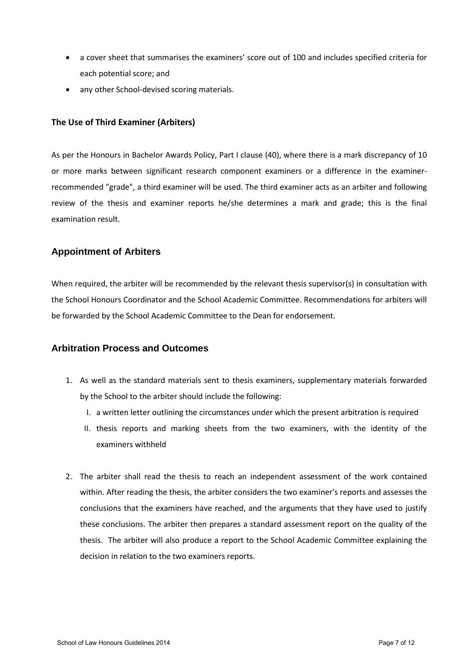- a cover sheet that summarises the examiners' score out of 100 and includes specified criteria for each potential score; and
- any other School-devised scoring materials.

#### **The Use of Third Examiner (Arbiters)**

As per the Honours in Bachelor Awards Policy, Part I clause (40), where there is a mark discrepancy of 10 or more marks between significant research component examiners or a difference in the examinerrecommended "grade", a third examiner will be used. The third examiner acts as an arbiter and following review of the thesis and examiner reports he/she determines a mark and grade; this is the final examination result.

## **Appointment of Arbiters**

When required, the arbiter will be recommended by the relevant thesis supervisor(s) in consultation with the School Honours Coordinator and the School Academic Committee. Recommendations for arbiters will be forwarded by the School Academic Committee to the Dean for endorsement.

### **Arbitration Process and Outcomes**

- 1. As well as the standard materials sent to thesis examiners, supplementary materials forwarded by the School to the arbiter should include the following:
	- I. a written letter outlining the circumstances under which the present arbitration is required
	- II. thesis reports and marking sheets from the two examiners, with the identity of the examiners withheld
- 2. The arbiter shall read the thesis to reach an independent assessment of the work contained within. After reading the thesis, the arbiter considers the two examiner's reports and assesses the conclusions that the examiners have reached, and the arguments that they have used to justify these conclusions. The arbiter then prepares a standard assessment report on the quality of the thesis. The arbiter will also produce a report to the School Academic Committee explaining the decision in relation to the two examiners reports.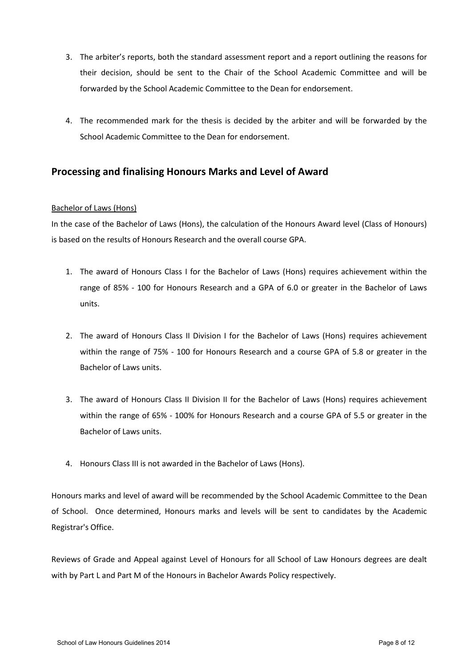- 3. The arbiter's reports, both the standard assessment report and a report outlining the reasons for their decision, should be sent to the Chair of the School Academic Committee and will be forwarded by the School Academic Committee to the Dean for endorsement.
- 4. The recommended mark for the thesis is decided by the arbiter and will be forwarded by the School Academic Committee to the Dean for endorsement.

# **Processing and finalising Honours Marks and Level of Award**

### Bachelor of Laws (Hons)

In the case of the Bachelor of Laws (Hons), the calculation of the Honours Award level (Class of Honours) is based on the results of Honours Research and the overall course GPA.

- 1. The award of Honours Class I for the Bachelor of Laws (Hons) requires achievement within the range of 85% - 100 for Honours Research and a GPA of 6.0 or greater in the Bachelor of Laws units.
- 2. The award of Honours Class II Division I for the Bachelor of Laws (Hons) requires achievement within the range of 75% - 100 for Honours Research and a course GPA of 5.8 or greater in the Bachelor of Laws units.
- 3. The award of Honours Class II Division II for the Bachelor of Laws (Hons) requires achievement within the range of 65% - 100% for Honours Research and a course GPA of 5.5 or greater in the Bachelor of Laws units.
- 4. Honours Class III is not awarded in the Bachelor of Laws (Hons).

Honours marks and level of award will be recommended by the School Academic Committee to the Dean of School. Once determined, Honours marks and levels will be sent to candidates by the Academic Registrar's Office.

Reviews of Grade and Appeal against Level of Honours for all School of Law Honours degrees are dealt with by Part L and Part M of the Honours in Bachelor Awards Policy respectively.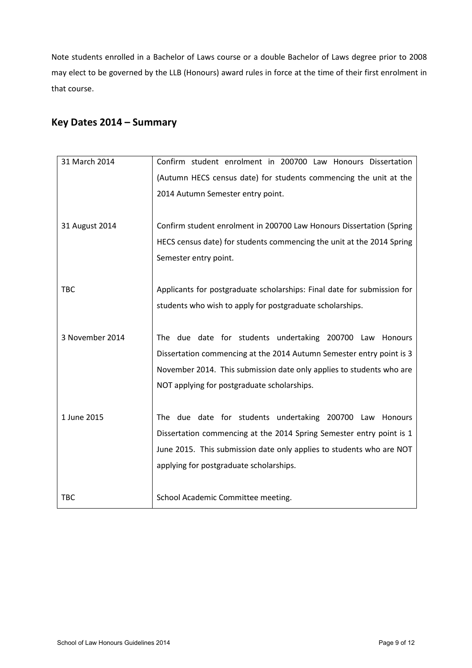Note students enrolled in a Bachelor of Laws course or a double Bachelor of Laws degree prior to 2008 may elect to be governed by the LLB (Honours) award rules in force at the time of their first enrolment in that course.

# **Key Dates 2014 – Summary**

| 31 March 2014   | Confirm student enrolment in 200700 Law Honours Dissertation            |
|-----------------|-------------------------------------------------------------------------|
|                 | (Autumn HECS census date) for students commencing the unit at the       |
|                 | 2014 Autumn Semester entry point.                                       |
|                 |                                                                         |
| 31 August 2014  | Confirm student enrolment in 200700 Law Honours Dissertation (Spring    |
|                 | HECS census date) for students commencing the unit at the 2014 Spring   |
|                 | Semester entry point.                                                   |
|                 |                                                                         |
| <b>TBC</b>      | Applicants for postgraduate scholarships: Final date for submission for |
|                 | students who wish to apply for postgraduate scholarships.               |
|                 |                                                                         |
| 3 November 2014 | The due date for students undertaking 200700 Law Honours                |
|                 | Dissertation commencing at the 2014 Autumn Semester entry point is 3    |
|                 | November 2014. This submission date only applies to students who are    |
|                 | NOT applying for postgraduate scholarships.                             |
|                 |                                                                         |
| 1 June 2015     | The due date for students undertaking 200700 Law Honours                |
|                 | Dissertation commencing at the 2014 Spring Semester entry point is 1    |
|                 | June 2015. This submission date only applies to students who are NOT    |
|                 | applying for postgraduate scholarships.                                 |
|                 |                                                                         |
| <b>TBC</b>      | School Academic Committee meeting.                                      |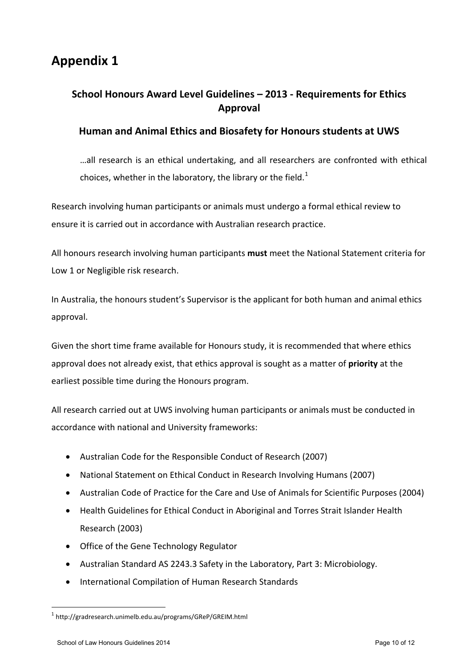# **Appendix 1**

# **School Honours Award Level Guidelines – 2013 - Requirements for Ethics Approval**

# **Human and Animal Ethics and Biosafety for Honours students at UWS**

…all research is an ethical undertaking, and all researchers are confronted with ethical choices, whether in the laboratory, the library or the field.<sup>[1](#page-1-0)</sup>

Research involving human participants or animals must undergo a formal ethical review to ensure it is carried out in accordance with Australian research practice.

All honours research involving human participants **must** meet the National Statement criteria for Low 1 or Negligible risk research.

In Australia, the honours student's Supervisor is the applicant for both human and animal ethics approval.

Given the short time frame available for Honours study, it is recommended that where ethics approval does not already exist, that ethics approval is sought as a matter of **priority** at the earliest possible time during the Honours program.

All research carried out at UWS involving human participants or animals must be conducted in accordance with national and University frameworks:

- [Australian Code for the Responsible Conduct of Research \(2007\)](http://www.nhmrc.gov.au/publications/synopses/r39syn.htm)
- [National Statement on Ethical Conduct in Research Involving Humans \(2007\)](http://www.nhmrc.gov.au/publications/synopses/e72syn.htm)
- [Australian Code of Practice for the Care and Use of Animals for Scientific Purposes \(2004\)](http://www.nhmrc.gov.au/publications/synopses/ea16syn.htm)
- [Health Guidelines for Ethical Conduct in Aboriginal and Torres Strait Islander Health](http://www.uws.edu.au/research/researchers/ethics/human_ethics/human_research_ethical_conduct_principles_conduct#2)  [Research \(2003\)](http://www.uws.edu.au/research/researchers/ethics/human_ethics/human_research_ethical_conduct_principles_conduct#2)
- [Office of the Gene Technology Regulator](http://www.ogtr.gov.au/)
- [Australian Standard AS 2243.3 Safety in the](http://www.saiglobal.com/online/AutoLogin.asp?url=/online/Script/Details.asp?DocN=AS362637424995) Laboratory, Part 3: Microbiology.
- [International Compilation of Human Research Standards](http://www.hhs.gov/ohrp/international/intlcompilation/intlcompilation.html)

-

<sup>1</sup> http://gradresearch.unimelb.edu.au/programs/GReP/GREIM.html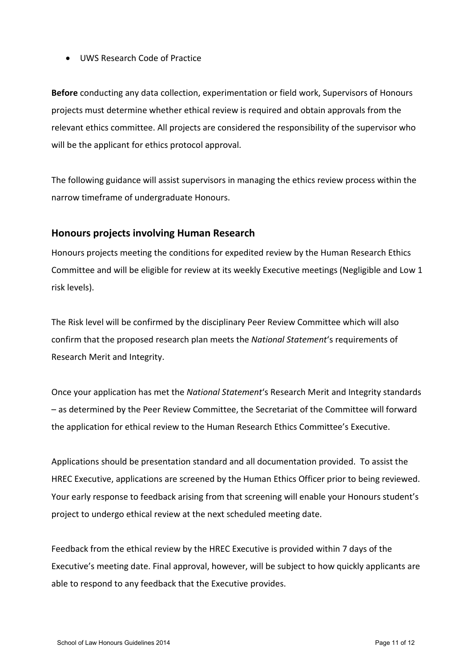• UWS Research Code of Practice

**Before** conducting any data collection, experimentation or field work, Supervisors of Honours projects must determine whether ethical review is required and obtain approvals from the relevant ethics committee. All projects are considered the responsibility of the supervisor who will be the applicant for ethics protocol approval.

The following guidance will assist supervisors in managing the ethics review process within the narrow timeframe of undergraduate Honours.

# **Honours projects involving Human Research**

Honours projects meeting the conditions for expedited review by the Human Research Ethics Committee and will be eligible for review at its weekly Executive meetings (Negligible and Low 1 risk levels).

The Risk level will be confirmed by the disciplinary Peer Review Committee which will also confirm that the proposed research plan meets the *National Statement*'s requirements of Research Merit and Integrity.

Once your application has met the *National Statement*'s Research Merit and Integrity standards – as determined by the Peer Review Committee, the Secretariat of the Committee will forward the application for ethical review to the Human Research Ethics Committee's Executive.

Applications should be presentation standard and all documentation provided. To assist the HREC Executive, applications are screened by the Human Ethics Officer prior to being reviewed. Your early response to feedback arising from that screening will enable your Honours student's project to undergo ethical review at the next scheduled meeting date.

Feedback from the ethical review by the HREC Executive is provided within 7 days of the Executive's meeting date. Final approval, however, will be subject to how quickly applicants are able to respond to any feedback that the Executive provides.